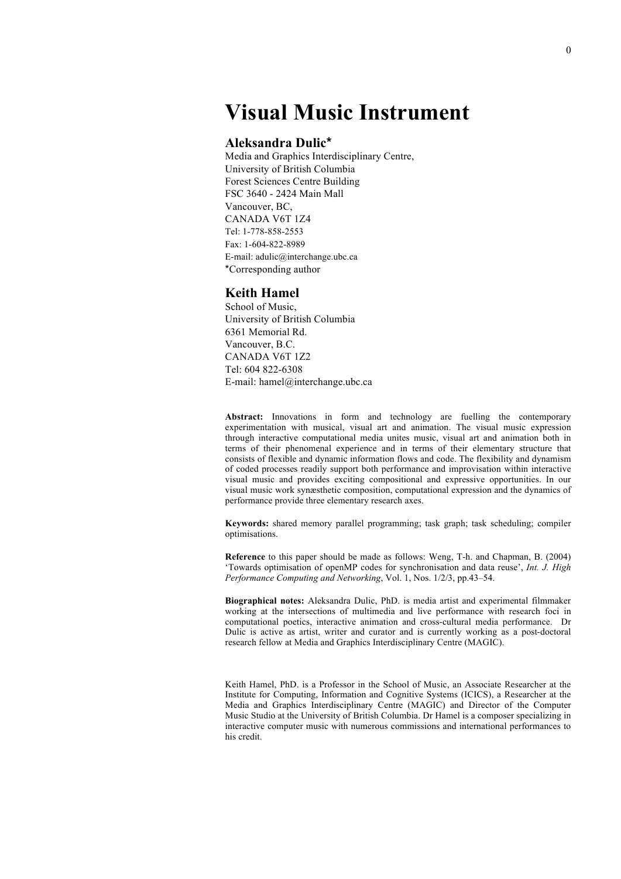# **Visual Music Instrument**

### **Aleksandra Dulic\***

Media and Graphics Interdisciplinary Centre, University of British Columbia Forest Sciences Centre Building FSC 3640 - 2424 Main Mall Vancouver, BC, CANADA V6T 1Z4 Tel: 1-778-858-2553 Fax: 1-604-822-8989 E-mail: adulic@interchange.ubc.ca \*Corresponding author

### **Keith Hamel**

School of Music, University of British Columbia 6361 Memorial Rd. Vancouver, B.C. CANADA V6T 1Z2 Tel: 604 822-6308 E-mail: hamel@interchange.ubc.ca

**Abstract:** Innovations in form and technology are fuelling the contemporary experimentation with musical, visual art and animation. The visual music expression through interactive computational media unites music, visual art and animation both in terms of their phenomenal experience and in terms of their elementary structure that consists of flexible and dynamic information flows and code. The flexibility and dynamism of coded processes readily support both performance and improvisation within interactive visual music and provides exciting compositional and expressive opportunities. In our visual music work synæsthetic composition, computational expression and the dynamics of performance provide three elementary research axes.

**Keywords:** shared memory parallel programming; task graph; task scheduling; compiler optimisations.

**Reference** to this paper should be made as follows: Weng, T-h. and Chapman, B. (2004) 'Towards optimisation of openMP codes for synchronisation and data reuse', *Int. J. High Performance Computing and Networking*, Vol. 1, Nos. 1/2/3, pp.43–54.

**Biographical notes:** Aleksandra Dulic, PhD. is media artist and experimental filmmaker working at the intersections of multimedia and live performance with research foci in computational poetics, interactive animation and cross-cultural media performance. Dr Dulic is active as artist, writer and curator and is currently working as a post-doctoral research fellow at Media and Graphics Interdisciplinary Centre (MAGIC).

Keith Hamel, PhD. is a Professor in the School of Music, an Associate Researcher at the Institute for Computing, Information and Cognitive Systems (ICICS), a Researcher at the Media and Graphics Interdisciplinary Centre (MAGIC) and Director of the Computer Music Studio at the University of British Columbia. Dr Hamel is a composer specializing in interactive computer music with numerous commissions and international performances to his credit.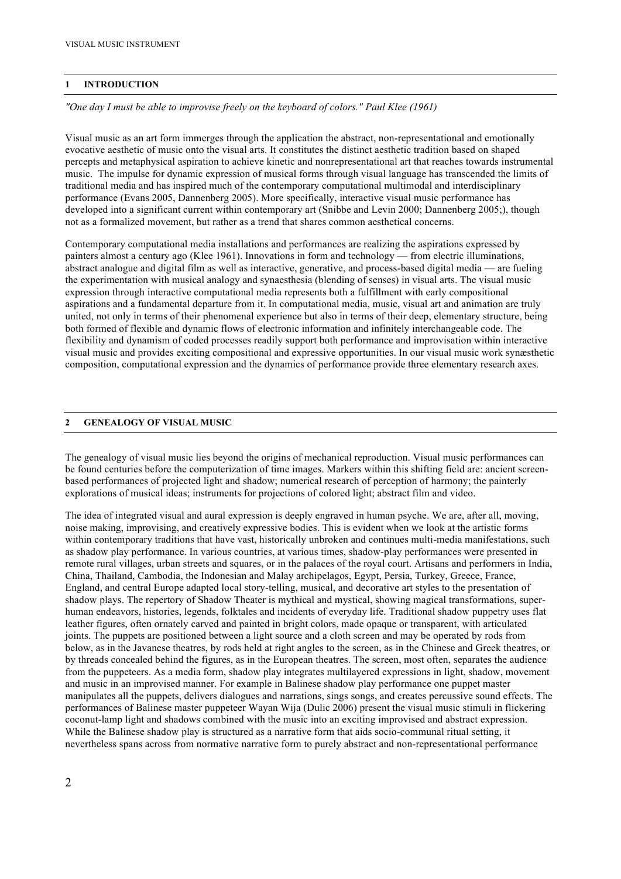### **1 INTRODUCTION**

*"One day I must be able to improvise freely on the keyboard of colors." Paul Klee (1961)*

Visual music as an art form immerges through the application the abstract, non-representational and emotionally evocative aesthetic of music onto the visual arts. It constitutes the distinct aesthetic tradition based on shaped percepts and metaphysical aspiration to achieve kinetic and nonrepresentational art that reaches towards instrumental music. The impulse for dynamic expression of musical forms through visual language has transcended the limits of traditional media and has inspired much of the contemporary computational multimodal and interdisciplinary performance (Evans 2005, Dannenberg 2005). More specifically, interactive visual music performance has developed into a significant current within contemporary art (Snibbe and Levin 2000; Dannenberg 2005;), though not as a formalized movement, but rather as a trend that shares common aesthetical concerns.

Contemporary computational media installations and performances are realizing the aspirations expressed by painters almost a century ago (Klee 1961). Innovations in form and technology — from electric illuminations, abstract analogue and digital film as well as interactive, generative, and process-based digital media — are fueling the experimentation with musical analogy and synaesthesia (blending of senses) in visual arts. The visual music expression through interactive computational media represents both a fulfillment with early compositional aspirations and a fundamental departure from it. In computational media, music, visual art and animation are truly united, not only in terms of their phenomenal experience but also in terms of their deep, elementary structure, being both formed of flexible and dynamic flows of electronic information and infinitely interchangeable code. The flexibility and dynamism of coded processes readily support both performance and improvisation within interactive visual music and provides exciting compositional and expressive opportunities. In our visual music work synæsthetic composition, computational expression and the dynamics of performance provide three elementary research axes.

### **2 GENEALOGY OF VISUAL MUSIC**

The genealogy of visual music lies beyond the origins of mechanical reproduction. Visual music performances can be found centuries before the computerization of time images. Markers within this shifting field are: ancient screenbased performances of projected light and shadow; numerical research of perception of harmony; the painterly explorations of musical ideas; instruments for projections of colored light; abstract film and video.

The idea of integrated visual and aural expression is deeply engraved in human psyche. We are, after all, moving, noise making, improvising, and creatively expressive bodies. This is evident when we look at the artistic forms within contemporary traditions that have vast, historically unbroken and continues multi-media manifestations, such as shadow play performance. In various countries, at various times, shadow-play performances were presented in remote rural villages, urban streets and squares, or in the palaces of the royal court. Artisans and performers in India, China, Thailand, Cambodia, the Indonesian and Malay archipelagos, Egypt, Persia, Turkey, Greece, France, England, and central Europe adapted local story-telling, musical, and decorative art styles to the presentation of shadow plays. The repertory of Shadow Theater is mythical and mystical, showing magical transformations, superhuman endeavors, histories, legends, folktales and incidents of everyday life. Traditional shadow puppetry uses flat leather figures, often ornately carved and painted in bright colors, made opaque or transparent, with articulated joints. The puppets are positioned between a light source and a cloth screen and may be operated by rods from below, as in the Javanese theatres, by rods held at right angles to the screen, as in the Chinese and Greek theatres, or by threads concealed behind the figures, as in the European theatres. The screen, most often, separates the audience from the puppeteers. As a media form, shadow play integrates multilayered expressions in light, shadow, movement and music in an improvised manner. For example in Balinese shadow play performance one puppet master manipulates all the puppets, delivers dialogues and narrations, sings songs, and creates percussive sound effects. The performances of Balinese master puppeteer Wayan Wija (Dulic 2006) present the visual music stimuli in flickering coconut-lamp light and shadows combined with the music into an exciting improvised and abstract expression. While the Balinese shadow play is structured as a narrative form that aids socio-communal ritual setting, it nevertheless spans across from normative narrative form to purely abstract and non-representational performance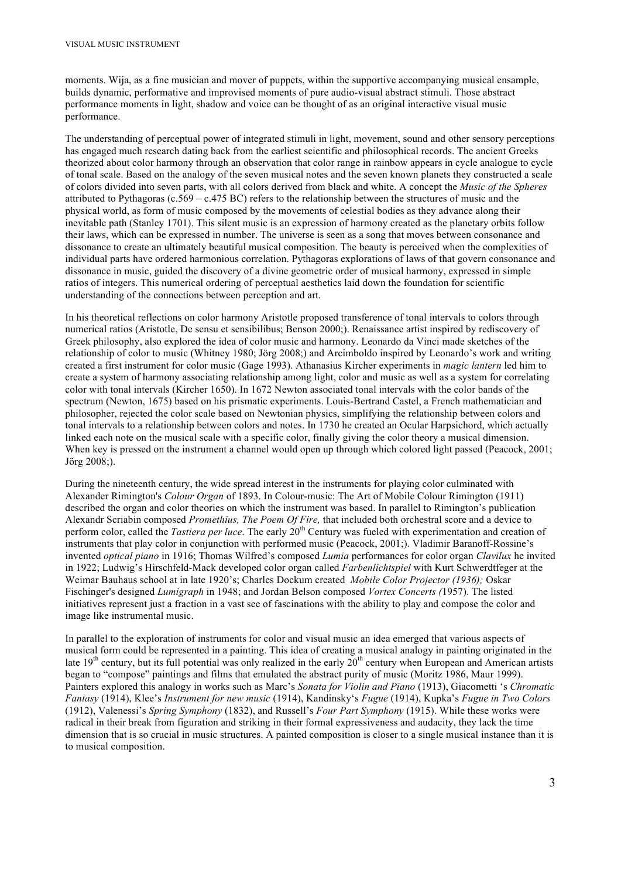moments. Wija, as a fine musician and mover of puppets, within the supportive accompanying musical ensample, builds dynamic, performative and improvised moments of pure audio-visual abstract stimuli. Those abstract performance moments in light, shadow and voice can be thought of as an original interactive visual music performance.

The understanding of perceptual power of integrated stimuli in light, movement, sound and other sensory perceptions has engaged much research dating back from the earliest scientific and philosophical records. The ancient Greeks theorized about color harmony through an observation that color range in rainbow appears in cycle analogue to cycle of tonal scale. Based on the analogy of the seven musical notes and the seven known planets they constructed a scale of colors divided into seven parts, with all colors derived from black and white. A concept the *Music of the Spheres* attributed to Pythagoras (c.569 – c.475 BC) refers to the relationship between the structures of music and the physical world, as form of music composed by the movements of celestial bodies as they advance along their inevitable path (Stanley 1701). This silent music is an expression of harmony created as the planetary orbits follow their laws, which can be expressed in number. The universe is seen as a song that moves between consonance and dissonance to create an ultimately beautiful musical composition. The beauty is perceived when the complexities of individual parts have ordered harmonious correlation. Pythagoras explorations of laws of that govern consonance and dissonance in music, guided the discovery of a divine geometric order of musical harmony, expressed in simple ratios of integers. This numerical ordering of perceptual aesthetics laid down the foundation for scientific understanding of the connections between perception and art.

In his theoretical reflections on color harmony Aristotle proposed transference of tonal intervals to colors through numerical ratios (Aristotle, De sensu et sensibilibus; Benson 2000;). Renaissance artist inspired by rediscovery of Greek philosophy, also explored the idea of color music and harmony. Leonardo da Vinci made sketches of the relationship of color to music (Whitney 1980; Jörg 2008;) and Arcimboldo inspired by Leonardo's work and writing created a first instrument for color music (Gage 1993). Athanasius Kircher experiments in *magic lantern* led him to create a system of harmony associating relationship among light, color and music as well as a system for correlating color with tonal intervals (Kircher 1650). In 1672 Newton associated tonal intervals with the color bands of the spectrum (Newton, 1675) based on his prismatic experiments. Louis-Bertrand Castel, a French mathematician and philosopher, rejected the color scale based on Newtonian physics, simplifying the relationship between colors and tonal intervals to a relationship between colors and notes. In 1730 he created an Ocular Harpsichord, which actually linked each note on the musical scale with a specific color, finally giving the color theory a musical dimension. When key is pressed on the instrument a channel would open up through which colored light passed (Peacock, 2001; Jörg 2008;).

During the nineteenth century, the wide spread interest in the instruments for playing color culminated with Alexander Rimington's *Colour Organ* of 1893. In Colour-music: The Art of Mobile Colour Rimington (1911) described the organ and color theories on which the instrument was based. In parallel to Rimington's publication Alexandr Scriabin composed *Promethius, The Poem Of Fire,* that included both orchestral score and a device to perform color, called the *Tastiera per luce*. The early 20<sup>th</sup> Century was fueled with experimentation and creation of instruments that play color in conjunction with performed music (Peacock, 2001;). Vladimir Baranoff-Rossine's invented *optical piano* in 1916; Thomas Wilfred's composed *Lumia* performances for color organ *Clavilux* he invited in 1922; Ludwig's Hirschfeld-Mack developed color organ called *Farbenlichtspiel* with Kurt Schwerdtfeger at the Weimar Bauhaus school at in late 1920's; Charles Dockum created *Mobile Color Projector (1936);* Oskar Fischinger's designed *Lumigraph* in 1948; and Jordan Belson composed *Vortex Concerts (*1957). The listed initiatives represent just a fraction in a vast see of fascinations with the ability to play and compose the color and image like instrumental music.

In parallel to the exploration of instruments for color and visual music an idea emerged that various aspects of musical form could be represented in a painting. This idea of creating a musical analogy in painting originated in the late  $19<sup>th</sup>$  century, but its full potential was only realized in the early  $20<sup>th</sup>$  century when European and American artists began to "compose" paintings and films that emulated the abstract purity of music (Moritz 1986, Maur 1999). Painters explored this analogy in works such as Marc's *Sonata for Violin and Piano* (1913), Giacometti 's *Chromatic Fantasy* (1914), Klee's *Instrument for new music* (1914), Kandinsky's *Fugue* (1914), Kupka's *Fugue in Two Colors* (1912), Valenessi's *Spring Symphony* (1832), and Russell's *Four Part Symphony* (1915). While these works were radical in their break from figuration and striking in their formal expressiveness and audacity, they lack the time dimension that is so crucial in music structures. A painted composition is closer to a single musical instance than it is to musical composition.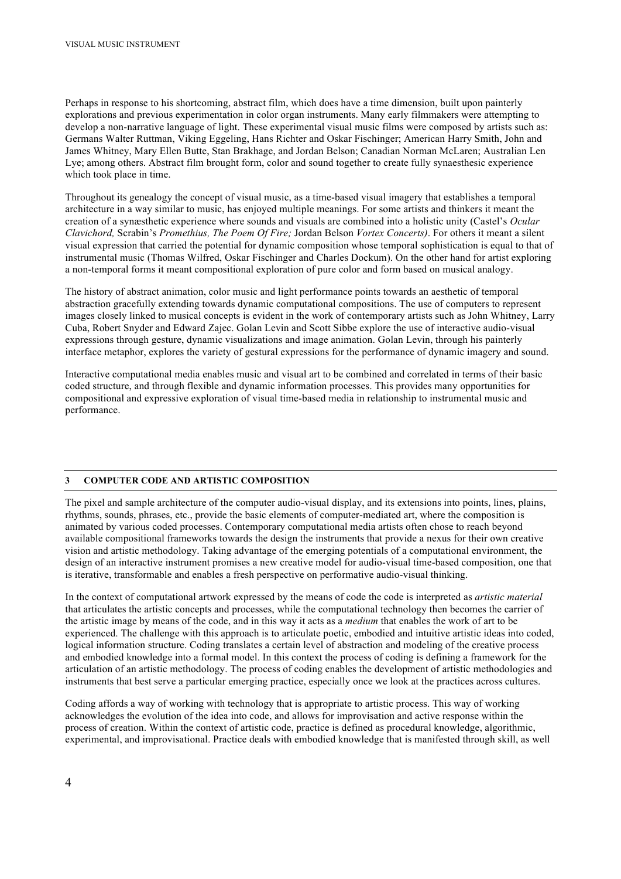Perhaps in response to his shortcoming, abstract film, which does have a time dimension, built upon painterly explorations and previous experimentation in color organ instruments. Many early filmmakers were attempting to develop a non-narrative language of light. These experimental visual music films were composed by artists such as: Germans Walter Ruttman, Viking Eggeling, Hans Richter and Oskar Fischinger; American Harry Smith, John and James Whitney, Mary Ellen Butte, Stan Brakhage, and Jordan Belson; Canadian Norman McLaren; Australian Len Lye; among others. Abstract film brought form, color and sound together to create fully synaesthesic experience which took place in time.

Throughout its genealogy the concept of visual music, as a time-based visual imagery that establishes a temporal architecture in a way similar to music, has enjoyed multiple meanings. For some artists and thinkers it meant the creation of a synæsthetic experience where sounds and visuals are combined into a holistic unity (Castel's *Ocular Clavichord,* Scrabin's *Promethius, The Poem Of Fire;* Jordan Belson *Vortex Concerts)*. For others it meant a silent visual expression that carried the potential for dynamic composition whose temporal sophistication is equal to that of instrumental music (Thomas Wilfred, Oskar Fischinger and Charles Dockum). On the other hand for artist exploring a non-temporal forms it meant compositional exploration of pure color and form based on musical analogy.

The history of abstract animation, color music and light performance points towards an aesthetic of temporal abstraction gracefully extending towards dynamic computational compositions. The use of computers to represent images closely linked to musical concepts is evident in the work of contemporary artists such as John Whitney, Larry Cuba, Robert Snyder and Edward Zajec. Golan Levin and Scott Sibbe explore the use of interactive audio-visual expressions through gesture, dynamic visualizations and image animation. Golan Levin, through his painterly interface metaphor, explores the variety of gestural expressions for the performance of dynamic imagery and sound.

Interactive computational media enables music and visual art to be combined and correlated in terms of their basic coded structure, and through flexible and dynamic information processes. This provides many opportunities for compositional and expressive exploration of visual time-based media in relationship to instrumental music and performance.

### **3 COMPUTER CODE AND ARTISTIC COMPOSITION**

The pixel and sample architecture of the computer audio-visual display, and its extensions into points, lines, plains, rhythms, sounds, phrases, etc., provide the basic elements of computer-mediated art, where the composition is animated by various coded processes. Contemporary computational media artists often chose to reach beyond available compositional frameworks towards the design the instruments that provide a nexus for their own creative vision and artistic methodology. Taking advantage of the emerging potentials of a computational environment, the design of an interactive instrument promises a new creative model for audio-visual time-based composition, one that is iterative, transformable and enables a fresh perspective on performative audio-visual thinking.

In the context of computational artwork expressed by the means of code the code is interpreted as *artistic material* that articulates the artistic concepts and processes, while the computational technology then becomes the carrier of the artistic image by means of the code, and in this way it acts as a *medium* that enables the work of art to be experienced. The challenge with this approach is to articulate poetic, embodied and intuitive artistic ideas into coded, logical information structure. Coding translates a certain level of abstraction and modeling of the creative process and embodied knowledge into a formal model. In this context the process of coding is defining a framework for the articulation of an artistic methodology. The process of coding enables the development of artistic methodologies and instruments that best serve a particular emerging practice, especially once we look at the practices across cultures.

Coding affords a way of working with technology that is appropriate to artistic process. This way of working acknowledges the evolution of the idea into code, and allows for improvisation and active response within the process of creation. Within the context of artistic code, practice is defined as procedural knowledge, algorithmic, experimental, and improvisational. Practice deals with embodied knowledge that is manifested through skill, as well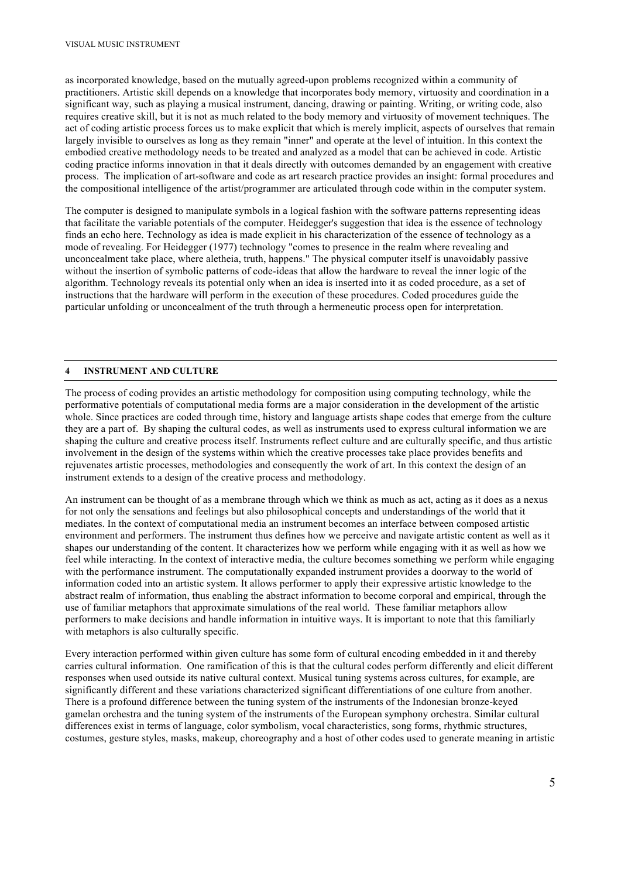as incorporated knowledge, based on the mutually agreed-upon problems recognized within a community of practitioners. Artistic skill depends on a knowledge that incorporates body memory, virtuosity and coordination in a significant way, such as playing a musical instrument, dancing, drawing or painting. Writing, or writing code, also requires creative skill, but it is not as much related to the body memory and virtuosity of movement techniques. The act of coding artistic process forces us to make explicit that which is merely implicit, aspects of ourselves that remain largely invisible to ourselves as long as they remain "inner" and operate at the level of intuition. In this context the embodied creative methodology needs to be treated and analyzed as a model that can be achieved in code. Artistic coding practice informs innovation in that it deals directly with outcomes demanded by an engagement with creative process. The implication of art-software and code as art research practice provides an insight: formal procedures and the compositional intelligence of the artist/programmer are articulated through code within in the computer system.

The computer is designed to manipulate symbols in a logical fashion with the software patterns representing ideas that facilitate the variable potentials of the computer. Heidegger's suggestion that idea is the essence of technology finds an echo here. Technology as idea is made explicit in his characterization of the essence of technology as a mode of revealing. For Heidegger (1977) technology "comes to presence in the realm where revealing and unconcealment take place, where aletheia, truth, happens." The physical computer itself is unavoidably passive without the insertion of symbolic patterns of code-ideas that allow the hardware to reveal the inner logic of the algorithm. Technology reveals its potential only when an idea is inserted into it as coded procedure, as a set of instructions that the hardware will perform in the execution of these procedures. Coded procedures guide the particular unfolding or unconcealment of the truth through a hermeneutic process open for interpretation.

### **4 INSTRUMENT AND CULTURE**

The process of coding provides an artistic methodology for composition using computing technology, while the performative potentials of computational media forms are a major consideration in the development of the artistic whole. Since practices are coded through time, history and language artists shape codes that emerge from the culture they are a part of. By shaping the cultural codes, as well as instruments used to express cultural information we are shaping the culture and creative process itself. Instruments reflect culture and are culturally specific, and thus artistic involvement in the design of the systems within which the creative processes take place provides benefits and rejuvenates artistic processes, methodologies and consequently the work of art. In this context the design of an instrument extends to a design of the creative process and methodology.

An instrument can be thought of as a membrane through which we think as much as act, acting as it does as a nexus for not only the sensations and feelings but also philosophical concepts and understandings of the world that it mediates. In the context of computational media an instrument becomes an interface between composed artistic environment and performers. The instrument thus defines how we perceive and navigate artistic content as well as it shapes our understanding of the content. It characterizes how we perform while engaging with it as well as how we feel while interacting. In the context of interactive media, the culture becomes something we perform while engaging with the performance instrument. The computationally expanded instrument provides a doorway to the world of information coded into an artistic system. It allows performer to apply their expressive artistic knowledge to the abstract realm of information, thus enabling the abstract information to become corporal and empirical, through the use of familiar metaphors that approximate simulations of the real world. These familiar metaphors allow performers to make decisions and handle information in intuitive ways. It is important to note that this familiarly with metaphors is also culturally specific.

Every interaction performed within given culture has some form of cultural encoding embedded in it and thereby carries cultural information. One ramification of this is that the cultural codes perform differently and elicit different responses when used outside its native cultural context. Musical tuning systems across cultures, for example, are significantly different and these variations characterized significant differentiations of one culture from another. There is a profound difference between the tuning system of the instruments of the Indonesian bronze-keyed gamelan orchestra and the tuning system of the instruments of the European symphony orchestra. Similar cultural differences exist in terms of language, color symbolism, vocal characteristics, song forms, rhythmic structures, costumes, gesture styles, masks, makeup, choreography and a host of other codes used to generate meaning in artistic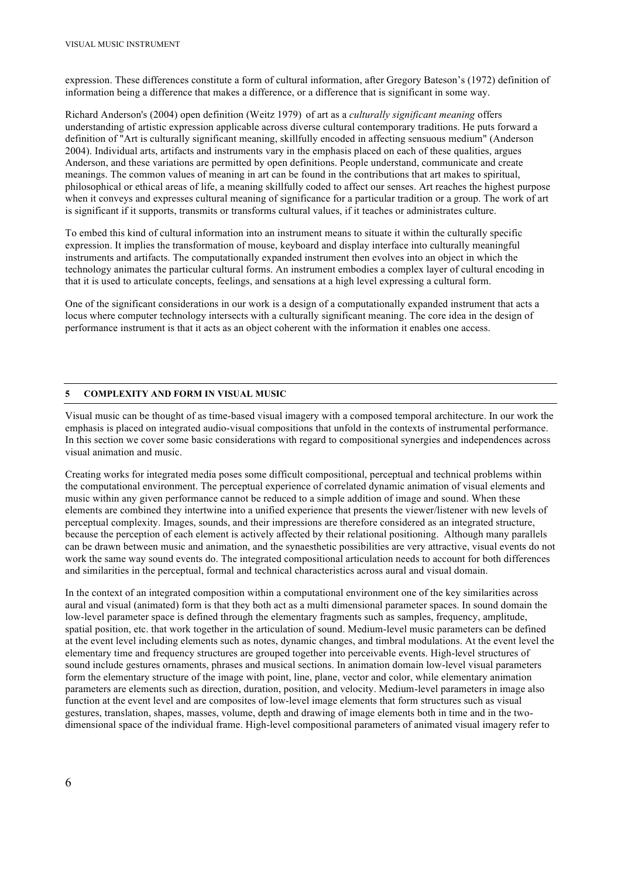expression. These differences constitute a form of cultural information, after Gregory Bateson's (1972) definition of information being a difference that makes a difference, or a difference that is significant in some way.

Richard Anderson's (2004) open definition (Weitz 1979) of art as a *culturally significant meaning* offers understanding of artistic expression applicable across diverse cultural contemporary traditions. He puts forward a definition of "Art is culturally significant meaning, skillfully encoded in affecting sensuous medium" (Anderson 2004). Individual arts, artifacts and instruments vary in the emphasis placed on each of these qualities, argues Anderson, and these variations are permitted by open definitions. People understand, communicate and create meanings. The common values of meaning in art can be found in the contributions that art makes to spiritual, philosophical or ethical areas of life, a meaning skillfully coded to affect our senses. Art reaches the highest purpose when it conveys and expresses cultural meaning of significance for a particular tradition or a group. The work of art is significant if it supports, transmits or transforms cultural values, if it teaches or administrates culture.

To embed this kind of cultural information into an instrument means to situate it within the culturally specific expression. It implies the transformation of mouse, keyboard and display interface into culturally meaningful instruments and artifacts. The computationally expanded instrument then evolves into an object in which the technology animates the particular cultural forms. An instrument embodies a complex layer of cultural encoding in that it is used to articulate concepts, feelings, and sensations at a high level expressing a cultural form.

One of the significant considerations in our work is a design of a computationally expanded instrument that acts a locus where computer technology intersects with a culturally significant meaning. The core idea in the design of performance instrument is that it acts as an object coherent with the information it enables one access.

### **5 COMPLEXITY AND FORM IN VISUAL MUSIC**

Visual music can be thought of as time-based visual imagery with a composed temporal architecture. In our work the emphasis is placed on integrated audio-visual compositions that unfold in the contexts of instrumental performance. In this section we cover some basic considerations with regard to compositional synergies and independences across visual animation and music.

Creating works for integrated media poses some difficult compositional, perceptual and technical problems within the computational environment. The perceptual experience of correlated dynamic animation of visual elements and music within any given performance cannot be reduced to a simple addition of image and sound. When these elements are combined they intertwine into a unified experience that presents the viewer/listener with new levels of perceptual complexity. Images, sounds, and their impressions are therefore considered as an integrated structure, because the perception of each element is actively affected by their relational positioning. Although many parallels can be drawn between music and animation, and the synaesthetic possibilities are very attractive, visual events do not work the same way sound events do. The integrated compositional articulation needs to account for both differences and similarities in the perceptual, formal and technical characteristics across aural and visual domain.

In the context of an integrated composition within a computational environment one of the key similarities across aural and visual (animated) form is that they both act as a multi dimensional parameter spaces. In sound domain the low-level parameter space is defined through the elementary fragments such as samples, frequency, amplitude, spatial position, etc. that work together in the articulation of sound. Medium-level music parameters can be defined at the event level including elements such as notes, dynamic changes, and timbral modulations. At the event level the elementary time and frequency structures are grouped together into perceivable events. High-level structures of sound include gestures ornaments, phrases and musical sections. In animation domain low-level visual parameters form the elementary structure of the image with point, line, plane, vector and color, while elementary animation parameters are elements such as direction, duration, position, and velocity. Medium-level parameters in image also function at the event level and are composites of low-level image elements that form structures such as visual gestures, translation, shapes, masses, volume, depth and drawing of image elements both in time and in the twodimensional space of the individual frame. High-level compositional parameters of animated visual imagery refer to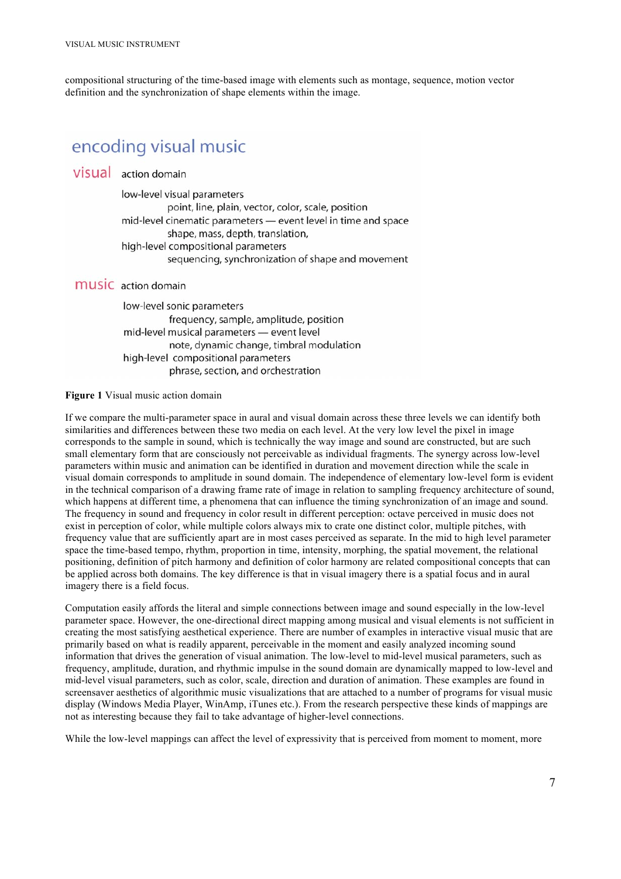compositional structuring of the time-based image with elements such as montage, sequence, motion vector definition and the synchronization of shape elements within the image.

# encoding visual music

# VISUAL action domain

low-level visual parameters point, line, plain, vector, color, scale, position mid-level cinematic parameters - event level in time and space shape, mass, depth, translation, high-level compositional parameters sequencing, synchronization of shape and movement

# **MUSIC** action domain

low-level sonic parameters frequency, sample, amplitude, position mid-level musical parameters - event level note, dynamic change, timbral modulation high-level compositional parameters phrase, section, and orchestration

### **Figure 1** Visual music action domain

If we compare the multi-parameter space in aural and visual domain across these three levels we can identify both similarities and differences between these two media on each level. At the very low level the pixel in image corresponds to the sample in sound, which is technically the way image and sound are constructed, but are such small elementary form that are consciously not perceivable as individual fragments. The synergy across low-level parameters within music and animation can be identified in duration and movement direction while the scale in visual domain corresponds to amplitude in sound domain. The independence of elementary low-level form is evident in the technical comparison of a drawing frame rate of image in relation to sampling frequency architecture of sound, which happens at different time, a phenomena that can influence the timing synchronization of an image and sound. The frequency in sound and frequency in color result in different perception: octave perceived in music does not exist in perception of color, while multiple colors always mix to crate one distinct color, multiple pitches, with frequency value that are sufficiently apart are in most cases perceived as separate. In the mid to high level parameter space the time-based tempo, rhythm, proportion in time, intensity, morphing, the spatial movement, the relational positioning, definition of pitch harmony and definition of color harmony are related compositional concepts that can be applied across both domains. The key difference is that in visual imagery there is a spatial focus and in aural imagery there is a field focus.

Computation easily affords the literal and simple connections between image and sound especially in the low-level parameter space. However, the one-directional direct mapping among musical and visual elements is not sufficient in creating the most satisfying aesthetical experience. There are number of examples in interactive visual music that are primarily based on what is readily apparent, perceivable in the moment and easily analyzed incoming sound information that drives the generation of visual animation. The low-level to mid-level musical parameters, such as frequency, amplitude, duration, and rhythmic impulse in the sound domain are dynamically mapped to low-level and mid-level visual parameters, such as color, scale, direction and duration of animation. These examples are found in screensaver aesthetics of algorithmic music visualizations that are attached to a number of programs for visual music display (Windows Media Player, WinAmp, iTunes etc.). From the research perspective these kinds of mappings are not as interesting because they fail to take advantage of higher-level connections.

While the low-level mappings can affect the level of expressivity that is perceived from moment to moment, more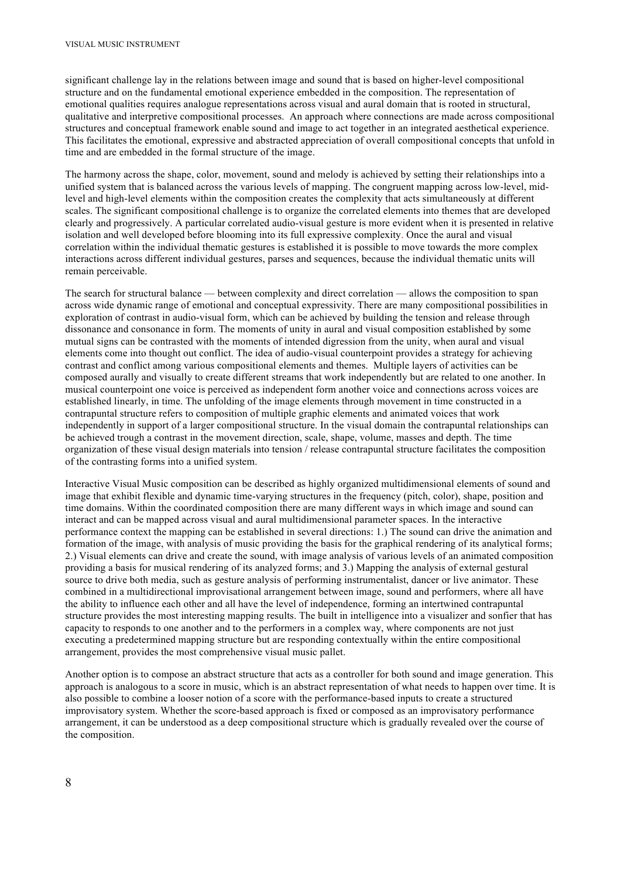significant challenge lay in the relations between image and sound that is based on higher-level compositional structure and on the fundamental emotional experience embedded in the composition. The representation of emotional qualities requires analogue representations across visual and aural domain that is rooted in structural, qualitative and interpretive compositional processes. An approach where connections are made across compositional structures and conceptual framework enable sound and image to act together in an integrated aesthetical experience. This facilitates the emotional, expressive and abstracted appreciation of overall compositional concepts that unfold in time and are embedded in the formal structure of the image.

The harmony across the shape, color, movement, sound and melody is achieved by setting their relationships into a unified system that is balanced across the various levels of mapping. The congruent mapping across low-level, midlevel and high-level elements within the composition creates the complexity that acts simultaneously at different scales. The significant compositional challenge is to organize the correlated elements into themes that are developed clearly and progressively. A particular correlated audio-visual gesture is more evident when it is presented in relative isolation and well developed before blooming into its full expressive complexity. Once the aural and visual correlation within the individual thematic gestures is established it is possible to move towards the more complex interactions across different individual gestures, parses and sequences, because the individual thematic units will remain perceivable.

The search for structural balance — between complexity and direct correlation — allows the composition to span across wide dynamic range of emotional and conceptual expressivity. There are many compositional possibilities in exploration of contrast in audio-visual form, which can be achieved by building the tension and release through dissonance and consonance in form. The moments of unity in aural and visual composition established by some mutual signs can be contrasted with the moments of intended digression from the unity, when aural and visual elements come into thought out conflict. The idea of audio-visual counterpoint provides a strategy for achieving contrast and conflict among various compositional elements and themes. Multiple layers of activities can be composed aurally and visually to create different streams that work independently but are related to one another. In musical counterpoint one voice is perceived as independent form another voice and connections across voices are established linearly, in time. The unfolding of the image elements through movement in time constructed in a contrapuntal structure refers to composition of multiple graphic elements and animated voices that work independently in support of a larger compositional structure. In the visual domain the contrapuntal relationships can be achieved trough a contrast in the movement direction, scale, shape, volume, masses and depth. The time organization of these visual design materials into tension / release contrapuntal structure facilitates the composition of the contrasting forms into a unified system.

Interactive Visual Music composition can be described as highly organized multidimensional elements of sound and image that exhibit flexible and dynamic time-varying structures in the frequency (pitch, color), shape, position and time domains. Within the coordinated composition there are many different ways in which image and sound can interact and can be mapped across visual and aural multidimensional parameter spaces. In the interactive performance context the mapping can be established in several directions: 1.) The sound can drive the animation and formation of the image, with analysis of music providing the basis for the graphical rendering of its analytical forms; 2.) Visual elements can drive and create the sound, with image analysis of various levels of an animated composition providing a basis for musical rendering of its analyzed forms; and 3.) Mapping the analysis of external gestural source to drive both media, such as gesture analysis of performing instrumentalist, dancer or live animator. These combined in a multidirectional improvisational arrangement between image, sound and performers, where all have the ability to influence each other and all have the level of independence, forming an intertwined contrapuntal structure provides the most interesting mapping results. The built in intelligence into a visualizer and sonfier that has capacity to responds to one another and to the performers in a complex way, where components are not just executing a predetermined mapping structure but are responding contextually within the entire compositional arrangement, provides the most comprehensive visual music pallet.

Another option is to compose an abstract structure that acts as a controller for both sound and image generation. This approach is analogous to a score in music, which is an abstract representation of what needs to happen over time. It is also possible to combine a looser notion of a score with the performance-based inputs to create a structured improvisatory system. Whether the score-based approach is fixed or composed as an improvisatory performance arrangement, it can be understood as a deep compositional structure which is gradually revealed over the course of the composition.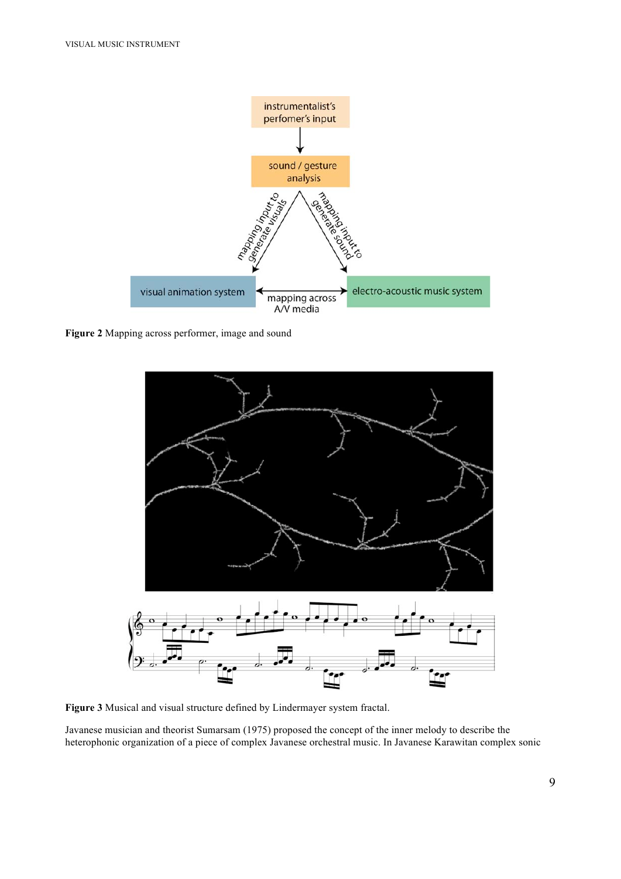

**Figure 2** Mapping across performer, image and sound



**Figure 3** Musical and visual structure defined by Lindermayer system fractal.

Javanese musician and theorist Sumarsam (1975) proposed the concept of the inner melody to describe the heterophonic organization of a piece of complex Javanese orchestral music. In Javanese Karawitan complex sonic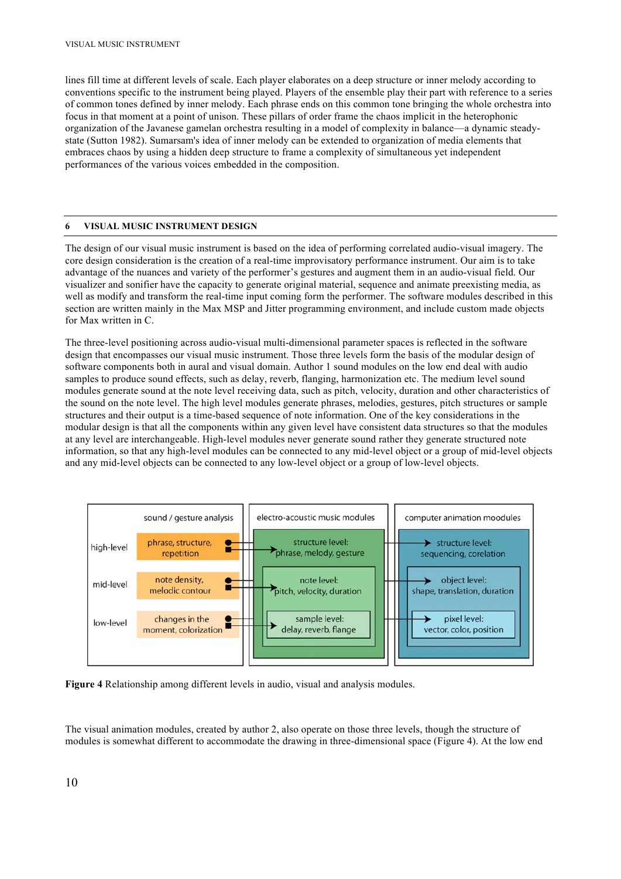lines fill time at different levels of scale. Each player elaborates on a deep structure or inner melody according to conventions specific to the instrument being played. Players of the ensemble play their part with reference to a series of common tones defined by inner melody. Each phrase ends on this common tone bringing the whole orchestra into focus in that moment at a point of unison. These pillars of order frame the chaos implicit in the heterophonic organization of the Javanese gamelan orchestra resulting in a model of complexity in balance—a dynamic steadystate (Sutton 1982). Sumarsam's idea of inner melody can be extended to organization of media elements that embraces chaos by using a hidden deep structure to frame a complexity of simultaneous yet independent performances of the various voices embedded in the composition.

### **6 VISUAL MUSIC INSTRUMENT DESIGN**

The design of our visual music instrument is based on the idea of performing correlated audio-visual imagery. The core design consideration is the creation of a real-time improvisatory performance instrument. Our aim is to take advantage of the nuances and variety of the performer's gestures and augment them in an audio-visual field. Our visualizer and sonifier have the capacity to generate original material, sequence and animate preexisting media, as well as modify and transform the real-time input coming form the performer. The software modules described in this section are written mainly in the Max MSP and Jitter programming environment, and include custom made objects for Max written in C.

The three-level positioning across audio-visual multi-dimensional parameter spaces is reflected in the software design that encompasses our visual music instrument. Those three levels form the basis of the modular design of software components both in aural and visual domain. Author 1 sound modules on the low end deal with audio samples to produce sound effects, such as delay, reverb, flanging, harmonization etc. The medium level sound modules generate sound at the note level receiving data, such as pitch, velocity, duration and other characteristics of the sound on the note level. The high level modules generate phrases, melodies, gestures, pitch structures or sample structures and their output is a time-based sequence of note information. One of the key considerations in the modular design is that all the components within any given level have consistent data structures so that the modules at any level are interchangeable. High-level modules never generate sound rather they generate structured note information, so that any high-level modules can be connected to any mid-level object or a group of mid-level objects and any mid-level objects can be connected to any low-level object or a group of low-level objects.



**Figure 4** Relationship among different levels in audio, visual and analysis modules.

The visual animation modules, created by author 2, also operate on those three levels, though the structure of modules is somewhat different to accommodate the drawing in three-dimensional space (Figure 4). At the low end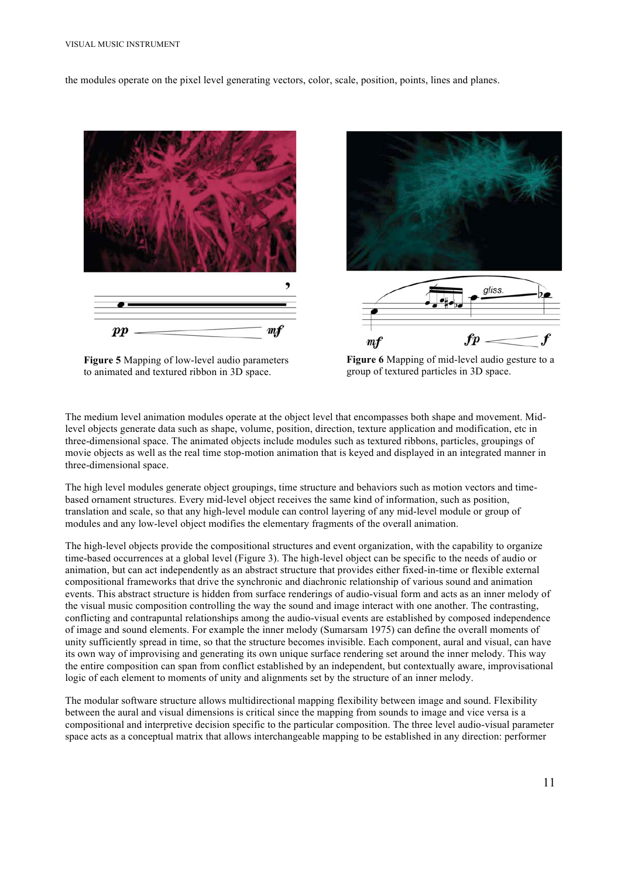the modules operate on the pixel level generating vectors, color, scale, position, points, lines and planes.



**Figure 5** Mapping of low-level audio parameters to animated and textured ribbon in 3D space.

**Figure 6** Mapping of mid-level audio gesture to a group of textured particles in 3D space.

The medium level animation modules operate at the object level that encompasses both shape and movement. Midlevel objects generate data such as shape, volume, position, direction, texture application and modification, etc in three-dimensional space. The animated objects include modules such as textured ribbons, particles, groupings of movie objects as well as the real time stop-motion animation that is keyed and displayed in an integrated manner in three-dimensional space.

The high level modules generate object groupings, time structure and behaviors such as motion vectors and timebased ornament structures. Every mid-level object receives the same kind of information, such as position, translation and scale, so that any high-level module can control layering of any mid-level module or group of modules and any low-level object modifies the elementary fragments of the overall animation.

The high-level objects provide the compositional structures and event organization, with the capability to organize time-based occurrences at a global level (Figure 3). The high-level object can be specific to the needs of audio or animation, but can act independently as an abstract structure that provides either fixed-in-time or flexible external compositional frameworks that drive the synchronic and diachronic relationship of various sound and animation events. This abstract structure is hidden from surface renderings of audio-visual form and acts as an inner melody of the visual music composition controlling the way the sound and image interact with one another. The contrasting, conflicting and contrapuntal relationships among the audio-visual events are established by composed independence of image and sound elements. For example the inner melody (Sumarsam 1975) can define the overall moments of unity sufficiently spread in time, so that the structure becomes invisible. Each component, aural and visual, can have its own way of improvising and generating its own unique surface rendering set around the inner melody. This way the entire composition can span from conflict established by an independent, but contextually aware, improvisational logic of each element to moments of unity and alignments set by the structure of an inner melody.

The modular software structure allows multidirectional mapping flexibility between image and sound. Flexibility between the aural and visual dimensions is critical since the mapping from sounds to image and vice versa is a compositional and interpretive decision specific to the particular composition. The three level audio-visual parameter space acts as a conceptual matrix that allows interchangeable mapping to be established in any direction: performer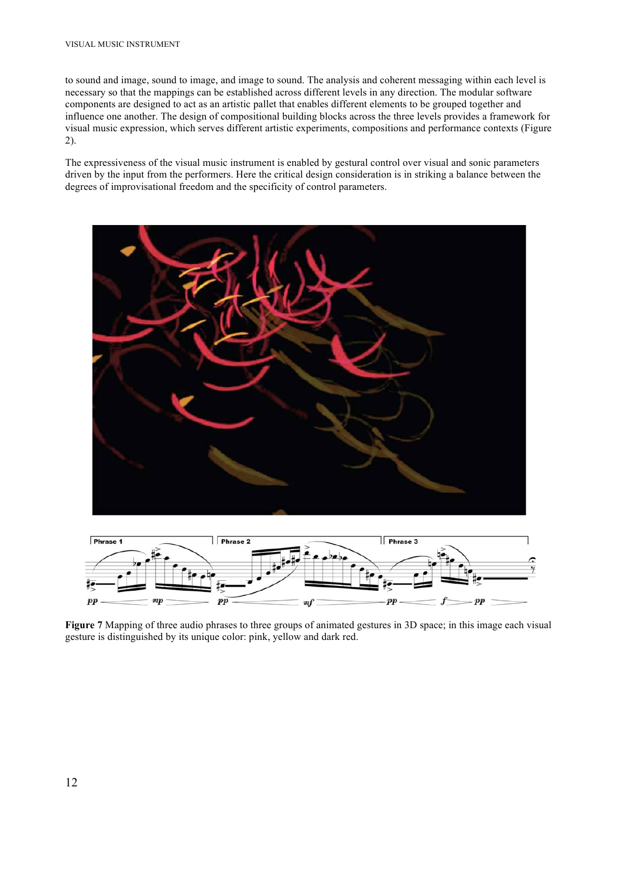to sound and image, sound to image, and image to sound. The analysis and coherent messaging within each level is necessary so that the mappings can be established across different levels in any direction. The modular software components are designed to act as an artistic pallet that enables different elements to be grouped together and influence one another. The design of compositional building blocks across the three levels provides a framework for visual music expression, which serves different artistic experiments, compositions and performance contexts (Figure 2).

The expressiveness of the visual music instrument is enabled by gestural control over visual and sonic parameters driven by the input from the performers. Here the critical design consideration is in striking a balance between the degrees of improvisational freedom and the specificity of control parameters.





**Figure 7** Mapping of three audio phrases to three groups of animated gestures in 3D space; in this image each visual gesture is distinguished by its unique color: pink, yellow and dark red.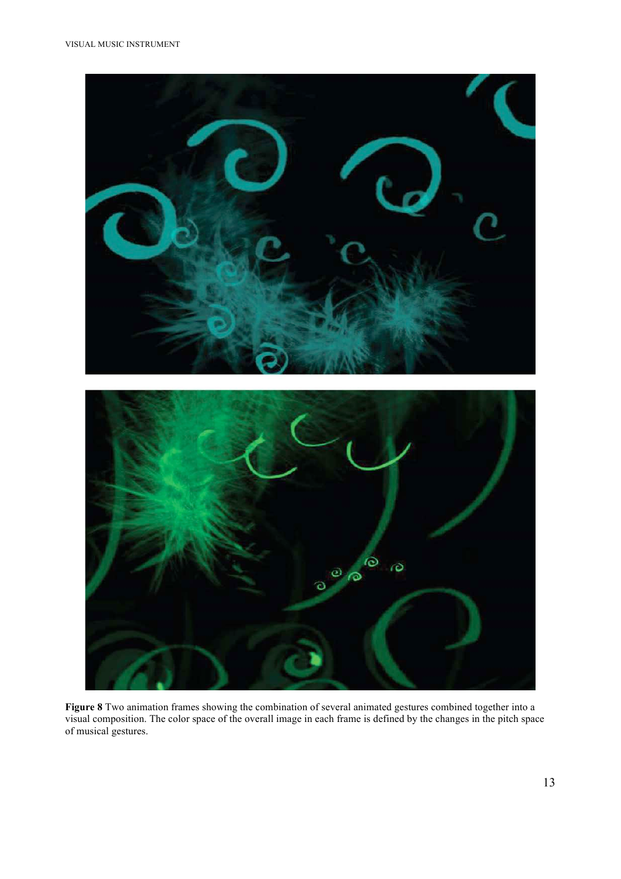

**Figure 8** Two animation frames showing the combination of several animated gestures combined together into a visual composition. The color space of the overall image in each frame is defined by the changes in the pitch space of musical gestures.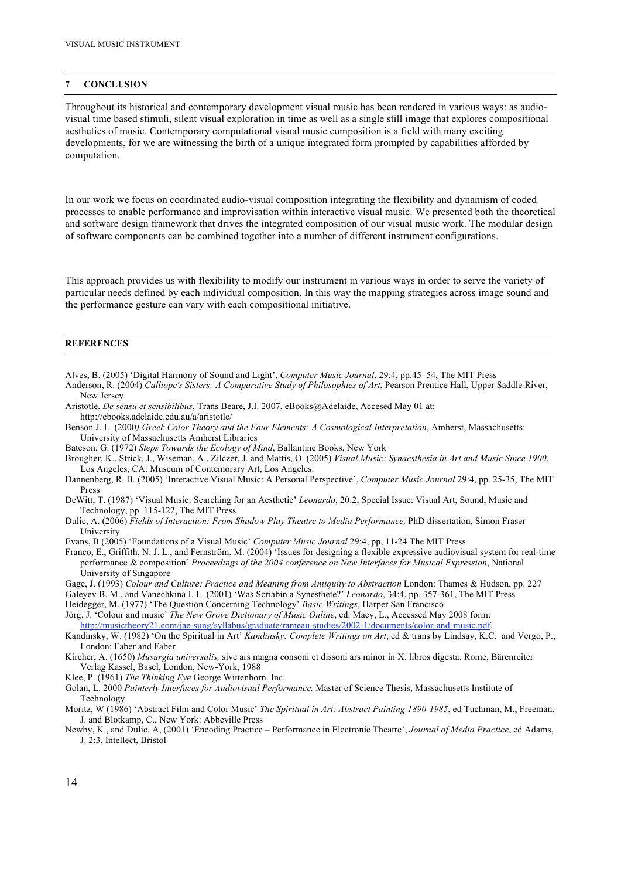#### **7 CONCLUSION**

Throughout its historical and contemporary development visual music has been rendered in various ways: as audiovisual time based stimuli, silent visual exploration in time as well as a single still image that explores compositional aesthetics of music. Contemporary computational visual music composition is a field with many exciting developments, for we are witnessing the birth of a unique integrated form prompted by capabilities afforded by computation.

In our work we focus on coordinated audio-visual composition integrating the flexibility and dynamism of coded processes to enable performance and improvisation within interactive visual music. We presented both the theoretical and software design framework that drives the integrated composition of our visual music work. The modular design of software components can be combined together into a number of different instrument configurations.

This approach provides us with flexibility to modify our instrument in various ways in order to serve the variety of particular needs defined by each individual composition. In this way the mapping strategies across image sound and the performance gesture can vary with each compositional initiative.

### **REFERENCES**

- Alves, B. (2005) 'Digital Harmony of Sound and Light', *Computer Music Journal*, 29:4, pp.45–54, The MIT Press
- Anderson, R. (2004) *Calliope's Sisters: A Comparative Study of Philosophies of Art*, Pearson Prentice Hall, Upper Saddle River, New Jersey

Aristotle, *De sensu et sensibilibus*, Trans Beare, J.I. 2007, eBooks@Adelaide, Accesed May 01 at: http://ebooks.adelaide.edu.au/a/aristotle/

Benson J. L. (2000*) Greek Color Theory and the Four Elements: A Cosmological Interpretation*, Amherst, Massachusetts: University of Massachusetts Amherst Libraries

Bateson, G. (1972) *Steps Towards the Ecology of Mind*, Ballantine Books, New York

- Brougher, K., Strick, J., Wiseman, A., Zilczer, J. and Mattis, O. (2005) *Visual Music: Synaesthesia in Art and Music Since 1900*, Los Angeles, CA: Museum of Contemorary Art, Los Angeles.
- Dannenberg, R. B. (2005) 'Interactive Visual Music: A Personal Perspective', *Computer Music Journal* 29:4, pp. 25-35, The MIT Press
- DeWitt, T. (1987) 'Visual Music: Searching for an Aesthetic' *Leonardo*, 20:2, Special Issue: Visual Art, Sound, Music and Technology, pp. 115-122, The MIT Press
- Dulic, A. (2006) *Fields of Interaction: From Shadow Play Theatre to Media Performance,* PhD dissertation, Simon Fraser University
- Evans, B (2005) 'Foundations of a Visual Music' *Computer Music Journal* 29:4, pp, 11-24 The MIT Press
- Franco, E., Griffith, N. J. L., and Fernström, M. (2004) 'Issues for designing a flexible expressive audiovisual system for real-time performance & composition' *Proceedings of the 2004 conference on New Interfaces for Musical Expression*, National University of Singapore
- Gage, J. (1993) *Colour and Culture: Practice and Meaning from Antiquity to Abstraction* London: Thames & Hudson, pp. 227 Galeyev B. M., and Vanechkina I. L. (2001) 'Was Scriabin a Synesthete?' *Leonardo*, 34:4, pp. 357-361, The MIT Press

Heidegger, M. (1977) 'The Question Concerning Technology' *Basic Writings*, Harper San Francisco

Jörg, J. 'Colour and music' *The New Grove Dictionary of Music Online*, ed. Macy, L., Accessed May 2008 form:

http://musictheory21.com/jae-sung/syllabus/graduate/rameau-studies/2002-1/documents/color-and-music.pdf.

- Kandinsky, W. (1982) 'On the Spiritual in Art' *Kandinsky: Complete Writings on Art*, ed & trans by Lindsay, K.C. and Vergo, P., London: Faber and Faber
- Kircher, A. (1650) *Musurgia universalis,* sive ars magna consoni et dissoni ars minor in X. libros digesta. Rome, Bärenreiter Verlag Kassel, Basel, London, New-York, 1988
- Klee, P. (1961) *The Thinking Eye* George Wittenborn. Inc.
- Golan, L. 2000 *Painterly Interfaces for Audiovisual Performance,* Master of Science Thesis, Massachusetts Institute of Technology
- Moritz, W (1986) 'Abstract Film and Color Music' *The Spiritual in Art: Abstract Painting 1890-1985*, ed Tuchman, M., Freeman, J. and Blotkamp, C., New York: Abbeville Press
- Newby, K., and Dulic, A, (2001) 'Encoding Practice Performance in Electronic Theatre', *Journal of Media Practice*, ed Adams, J. 2:3, Intellect, Bristol